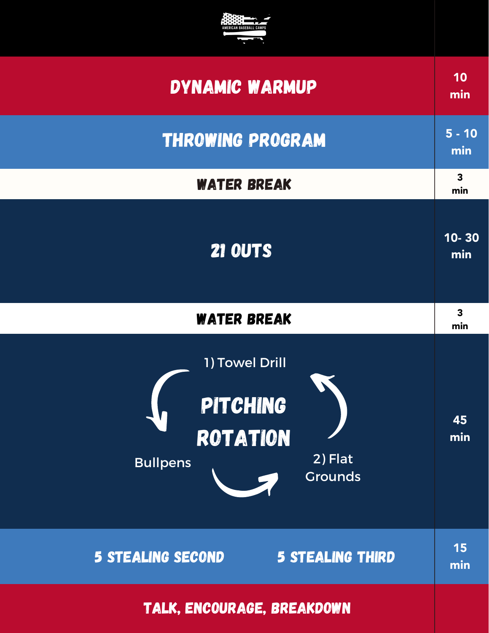

| <b>DYNAMIC WARMUP</b>                                                                                | 10<br>min                      |
|------------------------------------------------------------------------------------------------------|--------------------------------|
| <b>THROWING PROGRAM</b>                                                                              | $5 - 10$<br>min                |
| <b>WATER BREAK</b>                                                                                   | $\mathbf{3}$<br>min            |
| <b>21 OUTS</b>                                                                                       | $10 - 30$<br>min               |
| <b>WATER BREAK</b>                                                                                   | $\overline{\mathbf{3}}$<br>min |
| 1) Towel Drill<br><b>PITCHING</b><br><b>ROTATION</b><br>2) Flat<br><b>Bullpens</b><br><b>Grounds</b> | 45<br>min                      |
| <b>5 STEALING THIRD</b><br><b>5 STEALING SECOND</b>                                                  | 15<br>min                      |
| TALK, ENCOURAGE, BREAKDOWN                                                                           |                                |